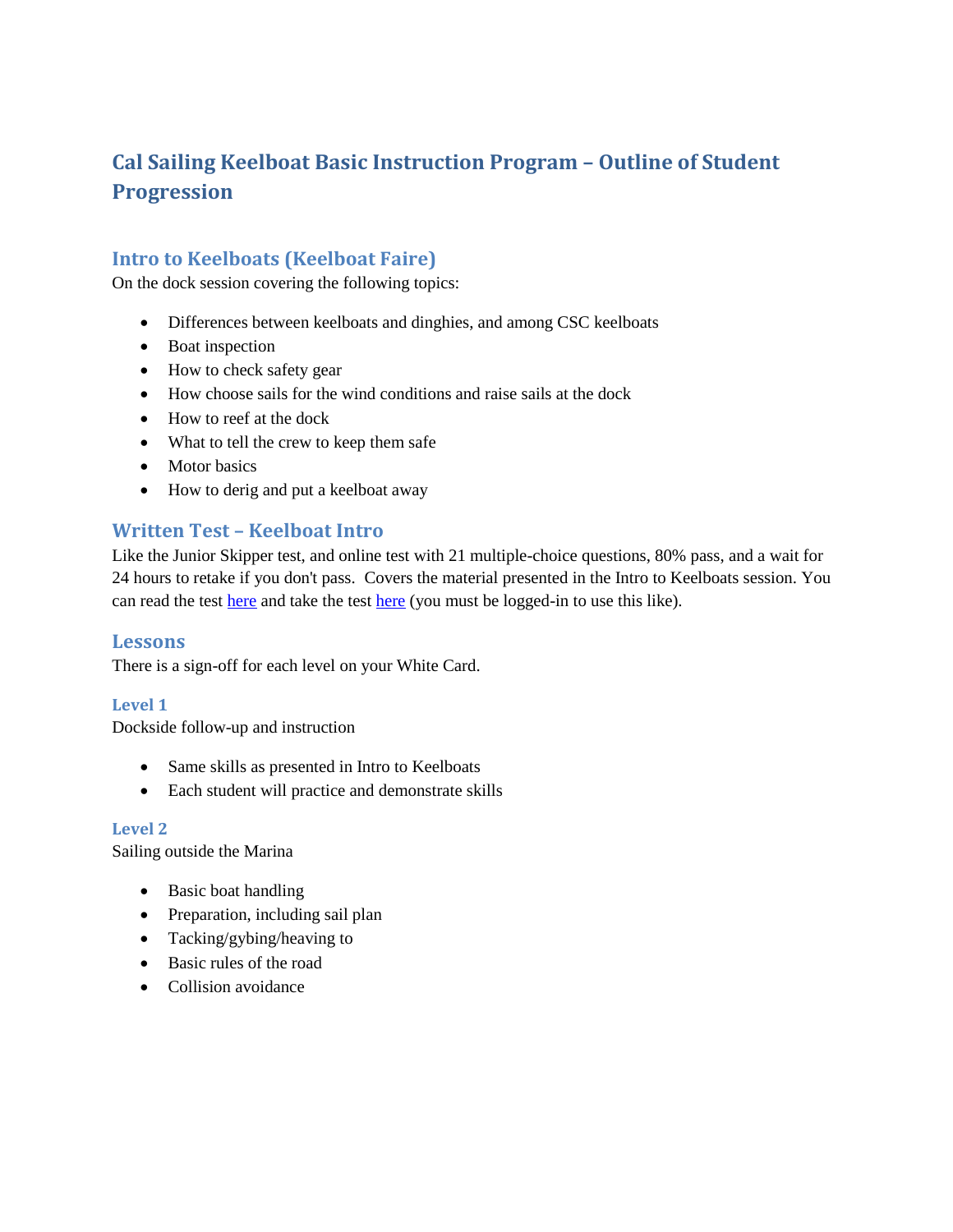# **Cal Sailing Keelboat Basic Instruction Program – Outline of Student Progression**

# **Intro to Keelboats (Keelboat Faire)**

On the dock session covering the following topics:

- Differences between keelboats and dinghies, and among CSC keelboats
- Boat inspection
- How to check safety gear
- How choose sails for the wind conditions and raise sails at the dock
- How to reef at the dock
- What to tell the crew to keep them safe
- Motor basics
- How to derig and put a keelboat away

# **Written Test – Keelboat Intro**

Like the Junior Skipper test, and online test with 21 multiple-choice questions, 80% pass, and a wait for 24 hours to retake if you don't pass. Covers the material presented in the Intro to Keelboats session. You can read the test [here](https://www.cal-sailing.org/ratings-menu/written-test/keelboat-intro-written/take-test) and take the test here (you must be logged-in to use this like).

#### **Lessons**

There is a sign-off for each level on your White Card.

#### **Level 1**

Dockside follow-up and instruction

- Same skills as presented in Intro to Keelboats
- Each student will practice and demonstrate skills

#### **Level 2**

Sailing outside the Marina

- Basic boat handling
- Preparation, including sail plan
- Tacking/gybing/heaving to
- Basic rules of the road
- Collision avoidance